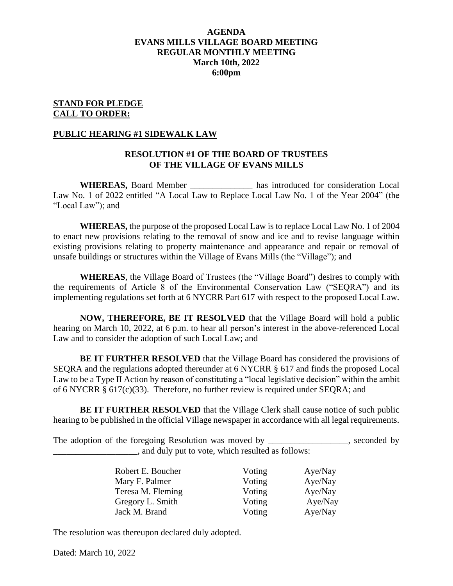## **AGENDA EVANS MILLS VILLAGE BOARD MEETING REGULAR MONTHLY MEETING March 10th, 2022 6:00pm**

#### **STAND FOR PLEDGE CALL TO ORDER:**

#### **PUBLIC HEARING #1 SIDEWALK LAW**

#### **RESOLUTION #1 OF THE BOARD OF TRUSTEES OF THE VILLAGE OF EVANS MILLS**

**WHEREAS,** Board Member has introduced for consideration Local Law No. 1 of 2022 entitled "A Local Law to Replace Local Law No. 1 of the Year 2004" (the "Local Law"); and

**WHEREAS,** the purpose of the proposed Local Law is to replace Local Law No. 1 of 2004 to enact new provisions relating to the removal of snow and ice and to revise language within existing provisions relating to property maintenance and appearance and repair or removal of unsafe buildings or structures within the Village of Evans Mills (the "Village"); and

**WHEREAS**, the Village Board of Trustees (the "Village Board") desires to comply with the requirements of Article 8 of the Environmental Conservation Law ("SEQRA") and its implementing regulations set forth at 6 NYCRR Part 617 with respect to the proposed Local Law.

**NOW, THEREFORE, BE IT RESOLVED** that the Village Board will hold a public hearing on March 10, 2022, at 6 p.m. to hear all person's interest in the above-referenced Local Law and to consider the adoption of such Local Law; and

**BE IT FURTHER RESOLVED** that the Village Board has considered the provisions of SEQRA and the regulations adopted thereunder at 6 NYCRR § 617 and finds the proposed Local Law to be a Type II Action by reason of constituting a "local legislative decision" within the ambit of 6 NYCRR § 617(c)(33). Therefore, no further review is required under SEQRA; and

**BE IT FURTHER RESOLVED** that the Village Clerk shall cause notice of such public hearing to be published in the official Village newspaper in accordance with all legal requirements.

The adoption of the foregoing Resolution was moved by \_\_\_\_\_\_\_\_\_\_\_\_\_\_, seconded by \_\_\_\_\_\_\_\_\_\_\_\_\_\_\_\_\_\_\_, and duly put to vote, which resulted as follows:

| Robert E. Boucher | Voting | Aye/Nay |
|-------------------|--------|---------|
| Mary F. Palmer    | Voting | Aye/Nay |
| Teresa M. Fleming | Voting | Aye/Nay |
| Gregory L. Smith  | Voting | Aye/Nay |
| Jack M. Brand     | Voting | Aye/Nay |

The resolution was thereupon declared duly adopted.

Dated: March 10, 2022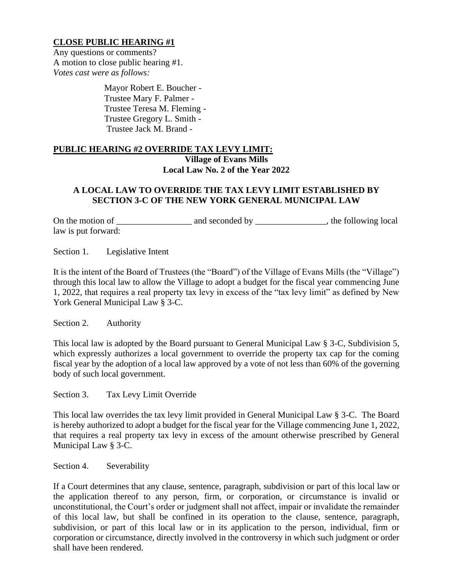## **CLOSE PUBLIC HEARING #1**

Any questions or comments? A motion to close public hearing #1. *Votes cast were as follows:*

> Mayor Robert E. Boucher - Trustee Mary F. Palmer - Trustee Teresa M. Fleming - Trustee Gregory L. Smith - Trustee Jack M. Brand -

## **PUBLIC HEARING #2 OVERRIDE TAX LEVY LIMIT: Village of Evans Mills Local Law No. 2 of the Year 2022**

## **A LOCAL LAW TO OVERRIDE THE TAX LEVY LIMIT ESTABLISHED BY SECTION 3-C OF THE NEW YORK GENERAL MUNICIPAL LAW**

On the motion of \_\_\_\_\_\_\_\_\_\_\_\_\_\_\_\_\_ and seconded by \_\_\_\_\_\_\_\_\_\_\_\_\_\_\_\_, the following local law is put forward:

Section 1. Legislative Intent

It is the intent of the Board of Trustees (the "Board") of the Village of Evans Mills (the "Village") through this local law to allow the Village to adopt a budget for the fiscal year commencing June 1, 2022, that requires a real property tax levy in excess of the "tax levy limit" as defined by New York General Municipal Law § 3-C.

Section 2. Authority

This local law is adopted by the Board pursuant to General Municipal Law § 3-C, Subdivision 5, which expressly authorizes a local government to override the property tax cap for the coming fiscal year by the adoption of a local law approved by a vote of not less than 60% of the governing body of such local government.

Section 3. Tax Levy Limit Override

This local law overrides the tax levy limit provided in General Municipal Law § 3-C. The Board is hereby authorized to adopt a budget for the fiscal year for the Village commencing June 1, 2022, that requires a real property tax levy in excess of the amount otherwise prescribed by General Municipal Law § 3-C.

Section 4. Severability

If a Court determines that any clause, sentence, paragraph, subdivision or part of this local law or the application thereof to any person, firm, or corporation, or circumstance is invalid or unconstitutional, the Court's order or judgment shall not affect, impair or invalidate the remainder of this local law, but shall be confined in its operation to the clause, sentence, paragraph, subdivision, or part of this local law or in its application to the person, individual, firm or corporation or circumstance, directly involved in the controversy in which such judgment or order shall have been rendered.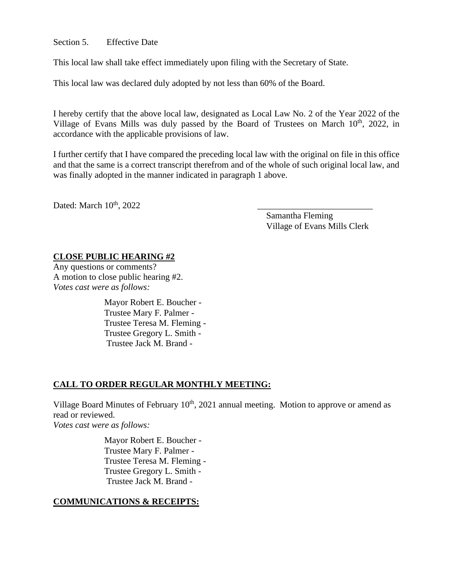#### Section 5. Effective Date

This local law shall take effect immediately upon filing with the Secretary of State.

This local law was declared duly adopted by not less than 60% of the Board.

I hereby certify that the above local law, designated as Local Law No. 2 of the Year 2022 of the Village of Evans Mills was duly passed by the Board of Trustees on March 10<sup>th</sup>, 2022, in accordance with the applicable provisions of law.

I further certify that I have compared the preceding local law with the original on file in this office and that the same is a correct transcript therefrom and of the whole of such original local law, and was finally adopted in the manner indicated in paragraph 1 above.

Dated: March  $10^{th}$ , 2022

Samantha Fleming Village of Evans Mills Clerk

## **CLOSE PUBLIC HEARING #2**

Any questions or comments? A motion to close public hearing #2. *Votes cast were as follows:*

> Mayor Robert E. Boucher - Trustee Mary F. Palmer - Trustee Teresa M. Fleming - Trustee Gregory L. Smith - Trustee Jack M. Brand -

## **CALL TO ORDER REGULAR MONTHLY MEETING:**

Village Board Minutes of February 10<sup>th</sup>, 2021 annual meeting. Motion to approve or amend as read or reviewed. *Votes cast were as follows:*

> Mayor Robert E. Boucher - Trustee Mary F. Palmer - Trustee Teresa M. Fleming - Trustee Gregory L. Smith - Trustee Jack M. Brand -

### **COMMUNICATIONS & RECEIPTS:**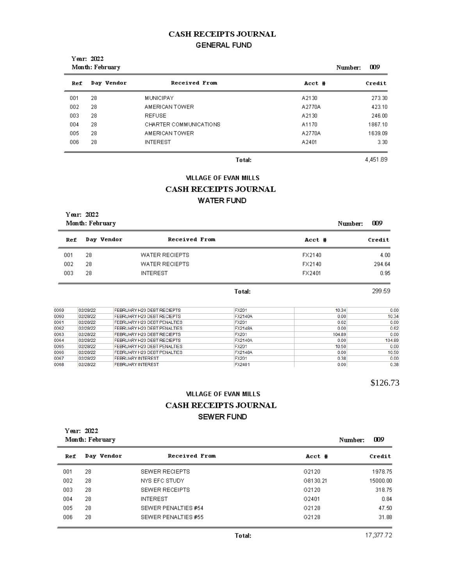## **CASH RECEIPTS JOURNAL GENERAL FUND**

| Year: 2022<br>Month: February |            |                        | Number: | 009 |         |
|-------------------------------|------------|------------------------|---------|-----|---------|
| Ref                           | Day Vendor | Received From          | Acct #  |     | Credit  |
| 001                           | 28         | <b>MUNICIPAY</b>       | A2130   |     | 273.30  |
| 002                           | 28         | AMERICAN TOWER         | A2770A  |     | 423.10  |
| 003                           | 28         | <b>REFUSE</b>          | A2130   |     | 246.00  |
| 004                           | 28         | CHARTER COMMUNICATIONS | A1170   |     | 1867.10 |
| 005                           | 28         | AMERICAN TOWER         | A2770A  |     | 1639.09 |
| 006                           | 28         | <b>INTEREST</b>        | A2401   |     | 3.30    |

Total:

4,451.89

# **VILLAGE OF EVAN MILLS**

## **CASH RECEIPTS JOURNAL**

## **WATER FUND**

| Year: 2022<br>Month: February |            |                       |        | 009<br>Number: |
|-------------------------------|------------|-----------------------|--------|----------------|
| Ref                           | Day Vendor | Received From         | Acct # | Credit         |
| 001                           | 28         | <b>WATER RECIEPTS</b> | FX2140 | 4.00           |
| 002                           | 28         | WATER RECIEPTS        | FX2140 | 294.64         |

Total:

299.59

 $0.95$ 

FX2401

| 0059 | 02/28/22 | FEBRUARY H20 DEBT RECIEPTS  | <b>FX201</b>   | 10.34  | 0.00   |
|------|----------|-----------------------------|----------------|--------|--------|
| 0060 | 02/28/22 | FEBRUARY H20 DEBT RECIEPTS  | <b>FX2140A</b> | 0.00   | 10.34  |
| 0061 | 02/28/22 | FEBRUARY H20 DEBT PENALTIES | <b>FX201</b>   | 0.62   | 0.00   |
| 0062 | 02/28/22 | FEBRUARY H20 DEBT PENALTIES | <b>FX2148A</b> | 0.00   | 0.62   |
| 0063 | 02/28/22 | FEBRUARY H20 DEBT RECIEPTS  | <b>FX201</b>   | 104.89 | 0.00   |
| 0064 | 02/28/22 | FEBRUARY H20 DEBT RECIEPTS  | <b>FX2140A</b> | 0.00   | 104.89 |
| 0065 | 02/28/22 | FEBRUARY H20 DEBT PENALTIES | <b>FX201</b>   | 10.50  | 0.00   |
| 0066 | 02/28/22 | FEBRUARY H20 DEBT PENALTIES | <b>FX2148A</b> | 0.00   | 10.50  |
| 0067 | 02/28/22 | <b>FEBRUARY INTEREST</b>    | <b>FX201</b>   | 0.38   | 0.00   |
| 0068 | 02/28/22 | <b>FEBRUARY INTEREST</b>    | FX2401         | 0.00   | 0.38   |

\$126.73

## **VILLAGE OF EVAN MILLS** CASH RECEIPTS JOURNAL SEWER FUND

| Year: 2022      |  |
|-----------------|--|
| Month: February |  |

003

28

**INTEREST** 

| Month: February |            | 009<br>Number:        |          |          |
|-----------------|------------|-----------------------|----------|----------|
| Ref             | Day Vendor | <b>Received From</b>  | Acct #   | Credit   |
| 001             | 28         | SEWER RECIEPTS        | G2120    | 1978.75  |
| 002             | 28         | NYS EFC STUDY         | G8130.21 | 15000.00 |
| 003             | 28         | <b>SEWER RECEIPTS</b> | G2120    | 318.75   |
| 004             | 28         | <b>INTEREST</b>       | G2401    | 0.84     |
| 005             | 28         | SEWER PENALTIES #54   | G2128    | 47.50    |
| 006             | 28         | SEWER PENALTIES #55   | G2128    | 31.88    |

17,377.72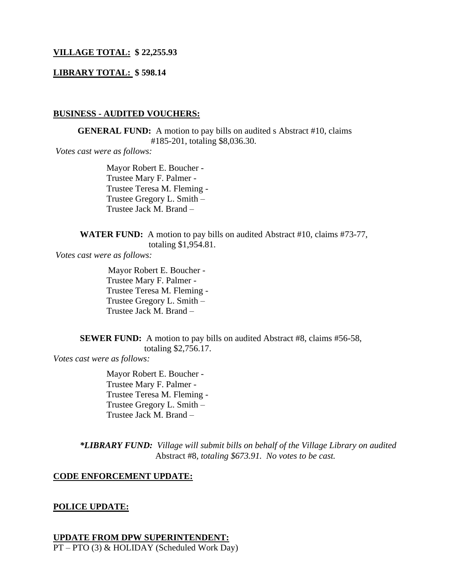## **VILLAGE TOTAL: \$ 22,255.93**

#### **LIBRARY TOTAL: \$ 598.14**

#### **BUSINESS - AUDITED VOUCHERS:**

**GENERAL FUND:** A motion to pay bills on audited s Abstract #10, claims #185-201, totaling \$8,036.30.

*Votes cast were as follows:*

Mayor Robert E. Boucher - Trustee Mary F. Palmer - Trustee Teresa M. Fleming - Trustee Gregory L. Smith – Trustee Jack M. Brand –

**WATER FUND:** A motion to pay bills on audited Abstract #10, claims #73-77, totaling \$1,954.81.

*Votes cast were as follows:*

 Mayor Robert E. Boucher - Trustee Mary F. Palmer - Trustee Teresa M. Fleming - Trustee Gregory L. Smith – Trustee Jack M. Brand –

**SEWER FUND:** A motion to pay bills on audited Abstract #8, claims #56-58, totaling \$2,756.17.

*Votes cast were as follows:*

Mayor Robert E. Boucher - Trustee Mary F. Palmer - Trustee Teresa M. Fleming - Trustee Gregory L. Smith – Trustee Jack M. Brand –

*\*LIBRARY FUND: Village will submit bills on behalf of the Village Library on audited* Abstract #8*, totaling \$673.91. No votes to be cast.*

#### **CODE ENFORCEMENT UPDATE:**

#### **POLICE UPDATE:**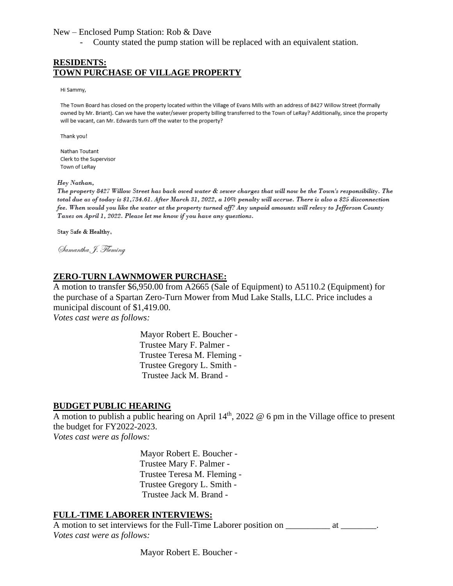#### New – Enclosed Pump Station: Rob & Dave

- County stated the pump station will be replaced with an equivalent station.

## **RESIDENTS: TOWN PURCHASE OF VILLAGE PROPERTY**

Hi Sammy,

The Town Board has closed on the property located within the Village of Evans Mills with an address of 8427 Willow Street (formally owned by Mr. Briant). Can we have the water/sewer property billing transferred to the Town of LeRay? Additionally, since the property will be vacant, can Mr. Edwards turn off the water to the property?

Thank you!

Nathan Toutant Clerk to the Supervisor Town of LeRay

Hey Nathan,

The property 8427 Willow Street has back owed water & sewer charges that will now be the Town's responsibility. The total due as of today is \$1,734.61. After March 31, 2022, a 10% penalty will accrue. There is also a \$25 disconnection fee. When would you like the water at the property turned off? Any unpaid amounts will relevy to Jefferson County Taxes on April 1, 2022. Please let me know if you have any questions.

Stay Safe & Healthy,

Samantha, J. Heming

## **ZERO-TURN LAWNMOWER PURCHASE:**

A motion to transfer \$6,950.00 from A2665 (Sale of Equipment) to A5110.2 (Equipment) for the purchase of a Spartan Zero-Turn Mower from Mud Lake Stalls, LLC. Price includes a municipal discount of \$1,419.00.

*Votes cast were as follows:*

 Mayor Robert E. Boucher - Trustee Mary F. Palmer - Trustee Teresa M. Fleming - Trustee Gregory L. Smith - Trustee Jack M. Brand -

### **BUDGET PUBLIC HEARING**

A motion to publish a public hearing on April  $14<sup>th</sup>$ , 2022 @ 6 pm in the Village office to present the budget for FY2022-2023.

*Votes cast were as follows:*

 Mayor Robert E. Boucher - Trustee Mary F. Palmer - Trustee Teresa M. Fleming - Trustee Gregory L. Smith - Trustee Jack M. Brand -

### **FULL-TIME LABORER INTERVIEWS:**

A motion to set interviews for the Full-Time Laborer position on \_\_\_\_\_\_\_\_\_\_\_ at \_\_\_\_\_\_\_\_. *Votes cast were as follows:*

Mayor Robert E. Boucher -